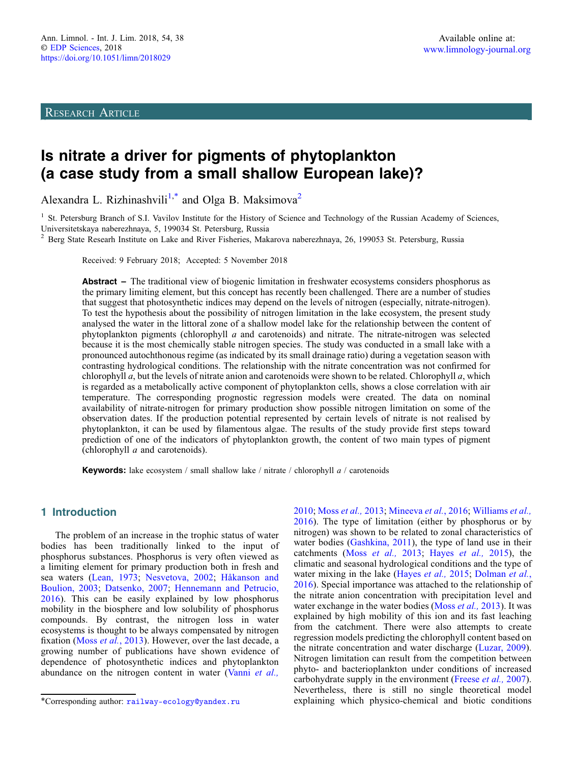# RESEARCH ARTICLE

# Is nitrate a driver for pigments of phytoplankton (a case study from a small shallow European lake)?

Alexandra L. Rizhinashvili<sup>1,\*</sup> and Olga B. Maksimova<sup>2</sup>

 $<sup>1</sup>$  St. Petersburg Branch of S.I. Vavilov Institute for the History of Science and Technology of the Russian Academy of Sciences,</sup> Universitetskaya naberezhnaya, 5, 199034 St. Petersburg, Russia

<sup>2</sup> Berg State Researh Institute on Lake and River Fisheries, Makarova naberezhnaya, 26, 199053 St. Petersburg, Russia

Received: 9 February 2018; Accepted: 5 November 2018

Abstract – The traditional view of biogenic limitation in freshwater ecosystems considers phosphorus as the primary limiting element, but this concept has recently been challenged. There are a number of studies that suggest that photosynthetic indices may depend on the levels of nitrogen (especially, nitrate-nitrogen). To test the hypothesis about the possibility of nitrogen limitation in the lake ecosystem, the present study analysed the water in the littoral zone of a shallow model lake for the relationship between the content of phytoplankton pigments (chlorophyll  $a$  and carotenoids) and nitrate. The nitrate-nitrogen was selected because it is the most chemically stable nitrogen species. The study was conducted in a small lake with a pronounced autochthonous regime (as indicated by its small drainage ratio) during a vegetation season with contrasting hydrological conditions. The relationship with the nitrate concentration was not confirmed for chlorophyll a, but the levels of nitrate anion and carotenoids were shown to be related. Chlorophyll a, which is regarded as a metabolically active component of phytoplankton cells, shows a close correlation with air temperature. The corresponding prognostic regression models were created. The data on nominal availability of nitrate-nitrogen for primary production show possible nitrogen limitation on some of the observation dates. If the production potential represented by certain levels of nitrate is not realised by phytoplankton, it can be used by filamentous algae. The results of the study provide first steps toward prediction of one of the indicators of phytoplankton growth, the content of two main types of pigment (chlorophyll a and carotenoids).

**Keywords:** lake ecosystem / small shallow lake / nitrate / chlorophyll  $a$  / carotenoids

# 1 Introduction

The problem of an increase in the trophic status of water bodies has been traditionally linked to the input of phosphorus substances. Phosphorus is very often viewed as a limiting element for primary production both in fresh and sea waters [\(Lean, 1973](#page-7-0); [Nesvetova, 2002;](#page-7-0) [Håkanson and](#page-7-0) [Boulion, 2003](#page-7-0); [Datsenko, 2007;](#page-7-0) [Hennemann and Petrucio,](#page-7-0) [2016\)](#page-7-0). This can be easily explained by low phosphorus mobility in the biosphere and low solubility of phosphorus compounds. By contrast, the nitrogen loss in water ecosystems is thought to be always compensated by nitrogen fixation (Moss et al.[, 2013\)](#page-7-0). However, over the last decade, a growing number of publications have shown evidence of dependence of photosynthetic indices and phytoplankton abundance on the nitrogen content in water (Vanni [et al.,](#page-8-0)

[2010;](#page-8-0) Moss [et al.,](#page-7-0) 2013; [Mineeva](#page-7-0) et al., 2016; [Williams](#page-8-0) et al., [2016\)](#page-8-0). The type of limitation (either by phosphorus or by nitrogen) was shown to be related to zonal characteristics of water bodies [\(Gashkina, 2011](#page-7-0)), the type of land use in their catchments (Moss *et al.*, 2013; Hayes *et al.*, 2015), the climatic and seasonal hydrological conditions and the type of water mixing in the lake ([Hayes](#page-7-0) *et al.*, 2015; [Dolman](#page-7-0) *et al.*, [2016\)](#page-7-0). Special importance was attached to the relationship of the nitrate anion concentration with precipitation level and water exchange in the water bodies (Moss *et al.*, 2013). It was explained by high mobility of this ion and its fast leaching from the catchment. There were also attempts to create regression models predicting the chlorophyll content based on the nitrate concentration and water discharge ([Luzar, 2009\)](#page-7-0). Nitrogen limitation can result from the competition between phyto- and bacterioplankton under conditions of increased carbohydrate supply in the environment [\(Freese](#page-7-0) *et al.*, 2007). Nevertheless, there is still no single theoretical model \*Corresponding author: [railway-ecology@yandex.ru](mailto:railway-ecology@yandex.ru) explaining which physico-chemical and biotic conditions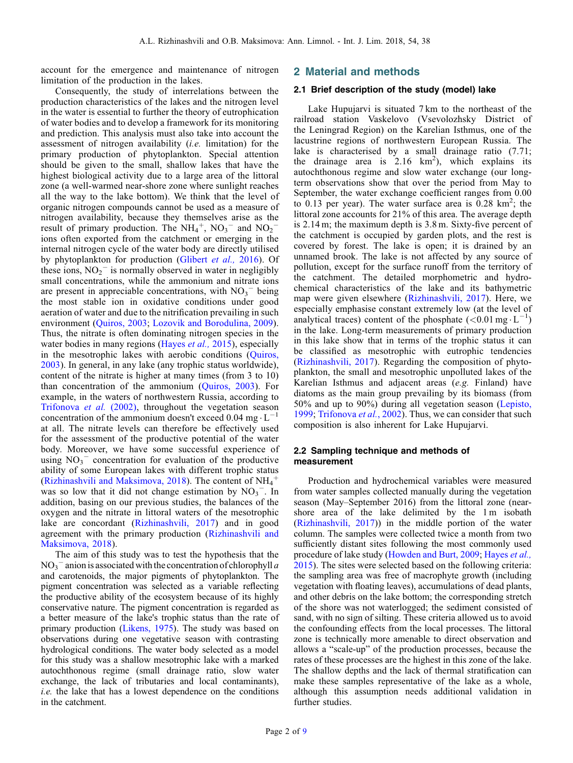account for the emergence and maintenance of nitrogen limitation of the production in the lakes.

Consequently, the study of interrelations between the production characteristics of the lakes and the nitrogen level in the water is essential to further the theory of eutrophication of water bodies and to develop a framework for its monitoring and prediction. This analysis must also take into account the assessment of nitrogen availability (i.e. limitation) for the primary production of phytoplankton. Special attention should be given to the small, shallow lakes that have the highest biological activity due to a large area of the littoral zone (a well-warmed near-shore zone where sunlight reaches all the way to the lake bottom). We think that the level of organic nitrogen compounds cannot be used as a measure of nitrogen availability, because they themselves arise as the result of primary production. The  $NH_4^+$ ,  $NO_3^-$  and  $NO_2^$ ions often exported from the catchment or emerging in the internal nitrogen cycle of the water body are directly utilised by phytoplankton for production [\(Glibert](#page-7-0) et al., 2016). Of these ions,  $NO_2^-$  is normally observed in water in negligibly small concentrations, while the ammonium and nitrate ions are present in appreciable concentrations, with  $NO<sub>3</sub><sup>-</sup>$  being the most stable ion in oxidative conditions under good aeration of water and due to the nitrification prevailing in such environment ([Quiros, 2003](#page-8-0); [Lozovik and Borodulina, 2009\)](#page-7-0). Thus, the nitrate is often dominating nitrogen species in the water bodies in many regions ([Hayes](#page-7-0) et al., 2015), especially in the mesotrophic lakes with aerobic conditions ([Quiros,](#page-8-0) [2003\)](#page-8-0). In general, in any lake (any trophic status worldwide), content of the nitrate is higher at many times (from 3 to 10) than concentration of the ammonium ([Quiros, 2003\)](#page-8-0). For example, in the waters of northwestern Russia, according to [Trifonova](#page-8-0) et al. (2002), throughout the vegetation season concentration of the ammonium doesn't exceed  $0.04$  mg $\cdot$  L<sup>-</sup> 1 at all. The nitrate levels can therefore be effectively used for the assessment of the productive potential of the water body. Moreover, we have some successful experience of using  $NO<sub>3</sub><sup>-</sup>$  concentration for evaluation of the productive ability of some European lakes with different trophic status ([Rizhinashvili and Maksimova, 2018\)](#page-8-0). The content of  $NH_4^+$ was so low that it did not change estimation by  $NO_3^-$ . In addition, basing on our previous studies, the balances of the oxygen and the nitrate in littoral waters of the mesotrophic lake are concordant [\(Rizhinashvili, 2017\)](#page-8-0) and in good agreement with the primary production ([Rizhinashvili and](#page-8-0) [Maksimova, 2018](#page-8-0)).

The aim of this study was to test the hypothesis that the  $NO<sub>3</sub><sup>-</sup>$  anion is associated with the concentration of chlorophyll a and carotenoids, the major pigments of phytoplankton. The pigment concentration was selected as a variable reflecting the productive ability of the ecosystem because of its highly conservative nature. The pigment concentration is regarded as a better measure of the lake's trophic status than the rate of primary production [\(Likens, 1975](#page-7-0)). The study was based on observations during one vegetative season with contrasting hydrological conditions. The water body selected as a model for this study was a shallow mesotrophic lake with a marked autochthonous regime (small drainage ratio, slow water exchange, the lack of tributaries and local contaminants), i.e. the lake that has a lowest dependence on the conditions in the catchment.

#### 2 Material and methods

#### 2.1 Brief description of the study (model) lake

Lake Hupujarvi is situated 7 km to the northeast of the railroad station Vaskelovo (Vsevolozhsky District of the Leningrad Region) on the Karelian Isthmus, one of the lacustrine regions of northwestern European Russia. The lake is characterised by a small drainage ratio (7.71; the drainage area is  $2.16 \text{ km}^2$ ), which explains its autochthonous regime and slow water exchange (our longterm observations show that over the period from May to September, the water exchange coefficient ranges from 0.00 to 0.13 per year). The water surface area is  $0.28 \text{ km}^2$ ; the littoral zone accounts for 21% of this area. The average depth is 2.14 m; the maximum depth is 3.8 m. Sixty-five percent of the catchment is occupied by garden plots, and the rest is covered by forest. The lake is open; it is drained by an unnamed brook. The lake is not affected by any source of pollution, except for the surface runoff from the territory of the catchment. The detailed morphometric and hydrochemical characteristics of the lake and its bathymetric map were given elsewhere [\(Rizhinashvili, 2017](#page-8-0)). Here, we especially emphasise constant extremely low (at the level of analytical traces) content of the phosphate  $(<0.01$  mg·L<sup>-1</sup>) in the lake. Long-term measurements of primary production in this lake show that in terms of the trophic status it can be classified as mesotrophic with eutrophic tendencies ([Rizhinashvili, 2017](#page-8-0)). Regarding the composition of phytoplankton, the small and mesotrophic unpolluted lakes of the Karelian Isthmus and adjacent areas (e.g. Finland) have diatoms as the main group prevailing by its biomass (from 50% and up to 90%) during all vegetation season ([Lepisto,](#page-7-0) [1999;](#page-7-0) [Trifonova](#page-8-0) et al., 2002). Thus, we can consider that such composition is also inherent for Lake Hupujarvi.

#### 2.2 Sampling technique and methods of measurement

Production and hydrochemical variables were measured from water samples collected manually during the vegetation season (May–September 2016) from the littoral zone (nearshore area of the lake delimited by the 1m isobath ([Rizhinashvili, 2017\)](#page-8-0)) in the middle portion of the water column. The samples were collected twice a month from two sufficiently distant sites following the most commonly used procedure of lake study ([Howden and Burt, 2009;](#page-7-0) [Hayes](#page-7-0) et al., [2015](#page-7-0)). The sites were selected based on the following criteria: the sampling area was free of macrophyte growth (including vegetation with floating leaves), accumulations of dead plants, and other debris on the lake bottom; the corresponding stretch of the shore was not waterlogged; the sediment consisted of sand, with no sign of silting. These criteria allowed us to avoid the confounding effects from the local processes. The littoral zone is technically more amenable to direct observation and allows a "scale-up" of the production processes, because the rates of these processes are the highest in this zone of the lake. The shallow depths and the lack of thermal stratification can make these samples representative of the lake as a whole, although this assumption needs additional validation in further studies.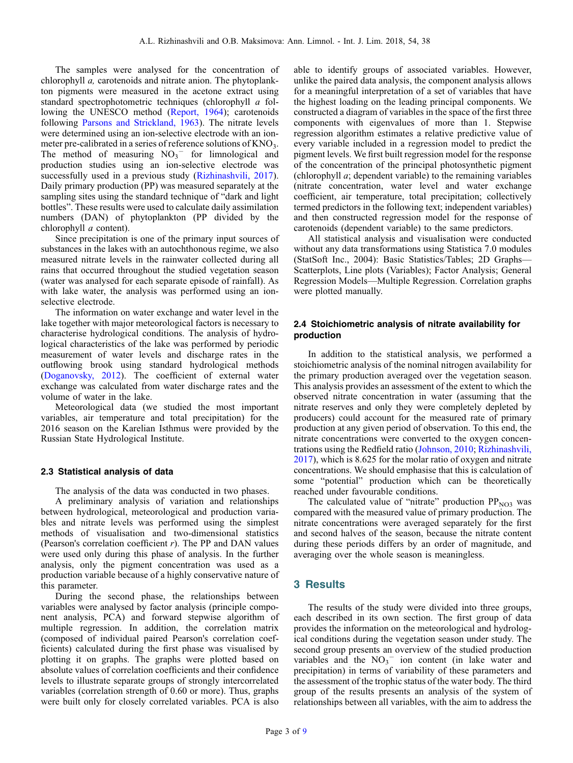The samples were analysed for the concentration of chlorophyll a, carotenoids and nitrate anion. The phytoplankton pigments were measured in the acetone extract using standard spectrophotometric techniques (chlorophyll a following the UNESCO method [\(Report, 1964](#page-8-0)); carotenoids following [Parsons and Strickland, 1963](#page-8-0)). The nitrate levels were determined using an ion-selective electrode with an ionmeter pre-calibrated in a series of reference solutions of KNO<sub>3</sub>. The method of measuring  $NO<sub>3</sub><sup>-</sup>$  for limnological and production studies using an ion-selective electrode was successfully used in a previous study ([Rizhinashvili, 2017](#page-8-0)). Daily primary production (PP) was measured separately at the sampling sites using the standard technique of "dark and light bottles". These results were used to calculate daily assimilation numbers (DAN) of phytoplankton (PP divided by the chlorophyll a content).

Since precipitation is one of the primary input sources of substances in the lakes with an autochthonous regime, we also measured nitrate levels in the rainwater collected during all rains that occurred throughout the studied vegetation season (water was analysed for each separate episode of rainfall). As with lake water, the analysis was performed using an ionselective electrode.

The information on water exchange and water level in the lake together with major meteorological factors is necessary to characterise hydrological conditions. The analysis of hydrological characteristics of the lake was performed by periodic measurement of water levels and discharge rates in the outflowing brook using standard hydrological methods ([Doganovsky, 2012\)](#page-7-0). The coefficient of external water exchange was calculated from water discharge rates and the volume of water in the lake.

Meteorological data (we studied the most important variables, air temperature and total precipitation) for the 2016 season on the Karelian Isthmus were provided by the Russian State Hydrological Institute.

#### 2.3 Statistical analysis of data

The analysis of the data was conducted in two phases.

A preliminary analysis of variation and relationships between hydrological, meteorological and production variables and nitrate levels was performed using the simplest methods of visualisation and two-dimensional statistics (Pearson's correlation coefficient  $r$ ). The PP and DAN values were used only during this phase of analysis. In the further analysis, only the pigment concentration was used as a production variable because of a highly conservative nature of this parameter.

During the second phase, the relationships between variables were analysed by factor analysis (principle component analysis, PCA) and forward stepwise algorithm of multiple regression. In addition, the correlation matrix (composed of individual paired Pearson's correlation coefficients) calculated during the first phase was visualised by plotting it on graphs. The graphs were plotted based on absolute values of correlation coefficients and their confidence levels to illustrate separate groups of strongly intercorrelated variables (correlation strength of 0.60 or more). Thus, graphs were built only for closely correlated variables. PCA is also able to identify groups of associated variables. However, unlike the paired data analysis, the component analysis allows for a meaningful interpretation of a set of variables that have the highest loading on the leading principal components. We constructed a diagram of variables in the space of the first three components with eigenvalues of more than 1. Stepwise regression algorithm estimates a relative predictive value of every variable included in a regression model to predict the pigment levels. We first built regression model for the response of the concentration of the principal photosynthetic pigment (chlorophyll a; dependent variable) to the remaining variables (nitrate concentration, water level and water exchange coefficient, air temperature, total precipitation; collectively termed predictors in the following text; independent variables) and then constructed regression model for the response of carotenoids (dependent variable) to the same predictors.

All statistical analysis and visualisation were conducted without any data transformations using Statistica 7.0 modules (StatSoft Inc., 2004): Basic Statistics/Tables; 2D Graphs— Scatterplots, Line plots (Variables); Factor Analysis; General Regression Models—Multiple Regression. Correlation graphs were plotted manually.

#### 2.4 Stoichiometric analysis of nitrate availability for production

In addition to the statistical analysis, we performed a stoichiometric analysis of the nominal nitrogen availability for the primary production averaged over the vegetation season. This analysis provides an assessment of the extent to which the observed nitrate concentration in water (assuming that the nitrate reserves and only they were completely depleted by producers) could account for the measured rate of primary production at any given period of observation. To this end, the nitrate concentrations were converted to the oxygen concentrations using the Redfield ratio [\(Johnson, 2010](#page-7-0); [Rizhinashvili,](#page-8-0) [2017](#page-8-0)), which is 8.625 for the molar ratio of oxygen and nitrate concentrations. We should emphasise that this is calculation of some "potential" production which can be theoretically reached under favourable conditions.

The calculated value of "nitrate" production  $PP<sub>NO3</sub>$  was compared with the measured value of primary production. The nitrate concentrations were averaged separately for the first and second halves of the season, because the nitrate content during these periods differs by an order of magnitude, and averaging over the whole season is meaningless.

#### 3 Results

The results of the study were divided into three groups, each described in its own section. The first group of data provides the information on the meteorological and hydrological conditions during the vegetation season under study. The second group presents an overview of the studied production variables and the  $NO<sub>3</sub><sup>-</sup>$  ion content (in lake water and precipitation) in terms of variability of these parameters and the assessment of the trophic status of the water body. The third group of the results presents an analysis of the system of relationships between all variables, with the aim to address the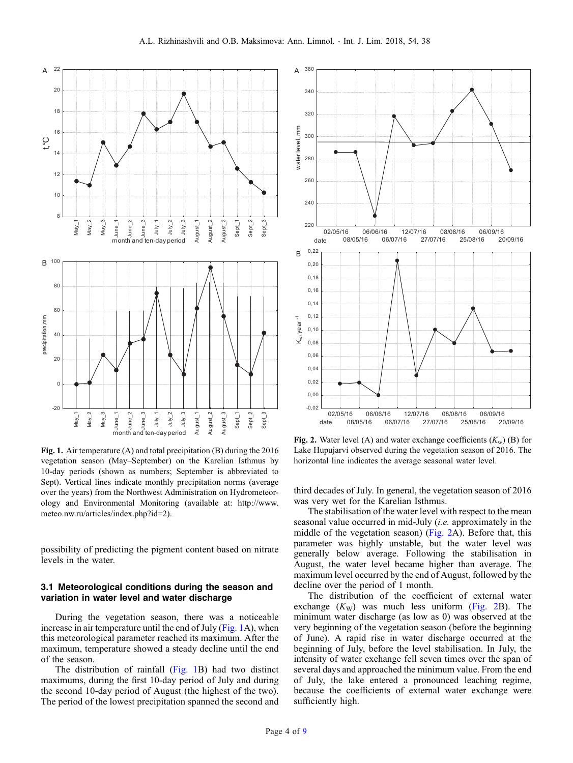<span id="page-3-0"></span>

Fig. 1. Air temperature (A) and total precipitation (B) during the 2016 vegetation season (May–September) on the Karelian Isthmus by 10-day periods (shown as numbers; September is abbreviated to Sept). Vertical lines indicate monthly precipitation norms (average over the years) from the Northwest Administration on Hydrometeorology and Environmental Monitoring (available at: http://www. meteo.nw.ru/articles/index.php?id=2).

possibility of predicting the pigment content based on nitrate levels in the water.

#### 3.1 Meteorological conditions during the season and variation in water level and water discharge

During the vegetation season, there was a noticeable increase in air temperature until the end of July (Fig. 1А), when this meteorological parameter reached its maximum. After the maximum, temperature showed a steady decline until the end of the season.

The distribution of rainfall (Fig. 1B) had two distinct maximums, during the first 10-day period of July and during the second 10-day period of August (the highest of the two). The period of the lowest precipitation spanned the second and



Fig. 2. Water level (A) and water exchange coefficients  $(K_w)$  (B) for Lake Hupujarvi observed during the vegetation season of 2016. The horizontal line indicates the average seasonal water level.

third decades of July. In general, the vegetation season of 2016 was very wet for the Karelian Isthmus.

The stabilisation of the water level with respect to the mean seasonal value occurred in mid-July (i.e. approximately in the middle of the vegetation season) (Fig. 2A). Before that, this parameter was highly unstable, but the water level was generally below average. Following the stabilisation in August, the water level became higher than average. The maximum level occurred by the end of August, followed by the decline over the period of 1 month.

The distribution of the coefficient of external water exchange  $(K_W)$  was much less uniform (Fig. 2B). The minimum water discharge (as low as 0) was observed at the very beginning of the vegetation season (before the beginning of June). A rapid rise in water discharge occurred at the beginning of July, before the level stabilisation. In July, the intensity of water exchange fell seven times over the span of several days and approached the minimum value. From the end of July, the lake entered a pronounced leaching regime, because the coefficients of external water exchange were sufficiently high.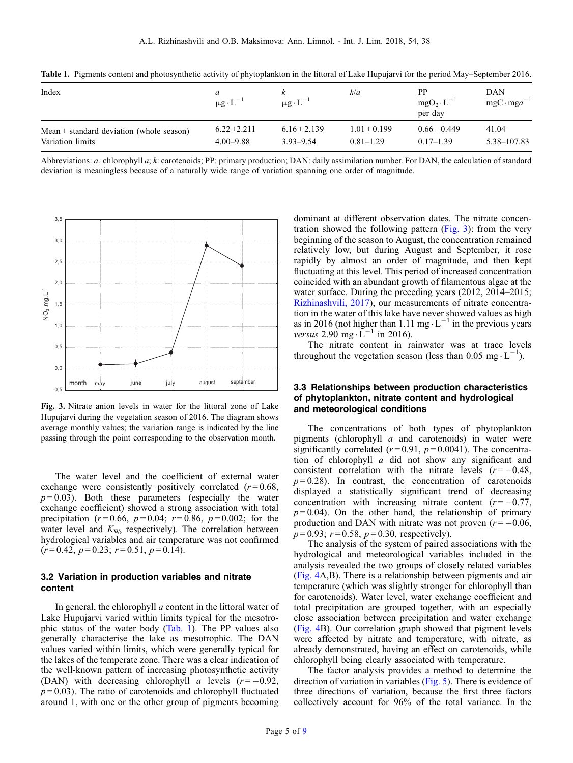| Index                                        | a<br>$\mu g \cdot L^{-1}$ | $\mu g \cdot L^{-1}$ | k/a              | PP<br>$mgO_2 \cdot L^{-1}$<br>per day | <b>DAN</b><br>$mgC \cdot mga^{-1}$ |
|----------------------------------------------|---------------------------|----------------------|------------------|---------------------------------------|------------------------------------|
| Mean $\pm$ standard deviation (whole season) | $6.22 \pm 2.211$          | $6.16 \pm 2.139$     | $1.01 \pm 0.199$ | $0.66 \pm 0.449$                      | 41.04                              |
| Variation limits                             | $4.00 - 9.88$             | $3.93 - 9.54$        | $0.81 - 1.29$    | $0.17 - 1.39$                         | 5.38–107.83                        |

<span id="page-4-0"></span>Table 1. Pigments content and photosynthetic activity of phytoplankton in the littoral of Lake Hupujarvi for the period May–September 2016.

Abbreviations: a: chlorophyll a; k: carotenoids; PP: primary production; DAN: daily assimilation number. For DAN, the calculation of standard deviation is meaningless because of a naturally wide range of variation spanning one order of magnitude.



Fig. 3. Nitrate anion levels in water for the littoral zone of Lake Hupujarvi during the vegetation season of 2016. The diagram shows average monthly values; the variation range is indicated by the line passing through the point corresponding to the observation month.

The water level and the coefficient of external water exchange were consistently positively correlated  $(r=0.68,$  $p=0.03$ ). Both these parameters (especially the water exchange coefficient) showed a strong association with total precipitation ( $r = 0.66$ ,  $p = 0.04$ ;  $r = 0.86$ ,  $p = 0.002$ ; for the water level and  $K_{\rm W}$ , respectively). The correlation between hydrological variables and air temperature was not confirmed  $(r=0.42, p=0.23; r=0.51, p=0.14).$ 

#### 3.2 Variation in production variables and nitrate content

In general, the chlorophyll a content in the littoral water of Lake Hupujarvi varied within limits typical for the mesotrophic status of the water body (Tab. 1). The PP values also generally characterise the lake as mesotrophic. The DAN values varied within limits, which were generally typical for the lakes of the temperate zone. There was a clear indication of the well-known pattern of increasing photosynthetic activity (DAN) with decreasing chlorophyll a levels  $(r = -0.92, ...)$  $p = 0.03$ ). The ratio of carotenoids and chlorophyll fluctuated around 1, with one or the other group of pigments becoming dominant at different observation dates. The nitrate concentration showed the following pattern (Fig. 3): from the very beginning of the season to August, the concentration remained relatively low, but during August and September, it rose rapidly by almost an order of magnitude, and then kept fluctuating at this level. This period of increased concentration coincided with an abundant growth of filamentous algae at the water surface. During the preceding years (2012, 2014–2015; [Rizhinashvili, 2017](#page-8-0)), our measurements of nitrate concentration in the water of this lake have never showed values as high as in 2016 (not higher than 1.11 mg  $\cdot L^{-1}$  in the previous years versus 2.90 mg $\cdot \overline{L}^{-1}$  in 2016).

The nitrate content in rainwater was at trace levels throughout the vegetation season (less than  $0.05$  mg $\cdot L^{-1}$ ).

#### 3.3 Relationships between production characteristics of phytoplankton, nitrate content and hydrological and meteorological conditions

The concentrations of both types of phytoplankton pigments (chlorophyll  $a$  and carotenoids) in water were significantly correlated ( $r = 0.91$ ,  $p = 0.0041$ ). The concentration of chlorophyll a did not show any significant and consistent correlation with the nitrate levels  $(r = -0.48,$  $p=0.28$ ). In contrast, the concentration of carotenoids displayed a statistically significant trend of decreasing concentration with increasing nitrate content  $(r = -0.77,$  $p=0.04$ ). On the other hand, the relationship of primary production and DAN with nitrate was not proven  $(r = -0.06,$  $p=0.93$ ;  $r=0.58$ ,  $p=0.30$ , respectively).

The analysis of the system of paired associations with the hydrological and meteorological variables included in the analysis revealed the two groups of closely related variables ([Fig. 4](#page-5-0)A,B). There is a relationship between pigments and air temperature (which was slightly stronger for chlorophyll than for carotenoids). Water level, water exchange coefficient and total precipitation are grouped together, with an especially close association between precipitation and water exchange ([Fig. 4](#page-5-0)B). Our correlation graph showed that pigment levels were affected by nitrate and temperature, with nitrate, as already demonstrated, having an effect on carotenoids, while chlorophyll being clearly associated with temperature.

The factor analysis provides a method to determine the direction of variation in variables [\(Fig. 5\)](#page-5-0). There is evidence of three directions of variation, because the first three factors collectively account for 96% of the total variance. In the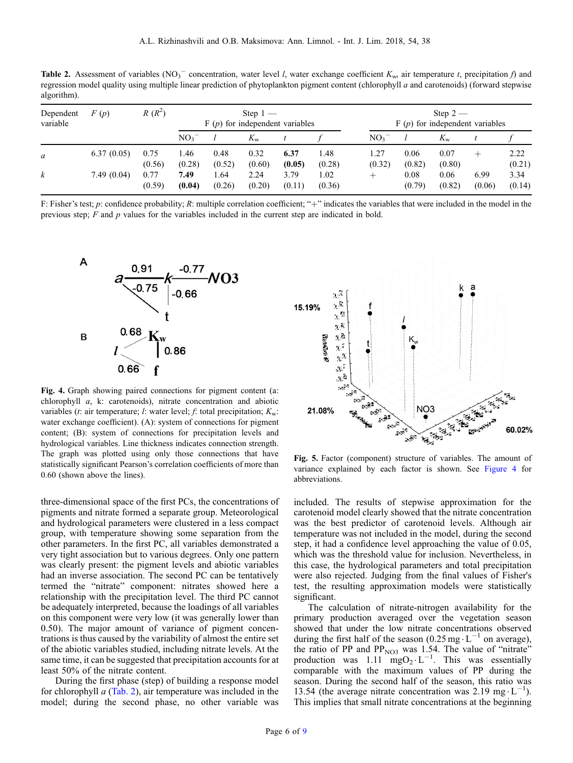<span id="page-5-0"></span>**Table 2.** Assessment of variables  $(NO<sub>3</sub><sup>-</sup>$  concentration, water level *l*, water exchange coefficient  $K<sub>w</sub>$ , air temperature *t*, precipitation *f*) and repression model quality using multiple linear predicti regression model quality using multiple linear prediction of phytoplankton pigment content (chlorophyll a and carotenoids) (forward stepwise algorithm).

| Dependent<br>variable | F(p)       | $R(R^2)$       | Step $1 -$<br>$F(p)$ for independent variables |                |                |                | Step $2-$<br>$F(p)$ for independent variables |                 |                |                |                |                |
|-----------------------|------------|----------------|------------------------------------------------|----------------|----------------|----------------|-----------------------------------------------|-----------------|----------------|----------------|----------------|----------------|
|                       |            |                | NO <sub>3</sub>                                |                | $K_{\rm w}$    |                |                                               | NO <sub>3</sub> |                | $K_{\rm w}$    |                |                |
| $\alpha$              | 6.37(0.05) | 0.75<br>(0.56) | 1.46<br>(0.28)                                 | 0.48<br>(0.52) | 0.32<br>(0.60) | 6.37<br>(0.05) | l.48<br>(0.28)                                | 1.27<br>(0.32)  | 0.06<br>(0.82) | 0.07<br>(0.80) |                | 2.22<br>(0.21) |
| $\boldsymbol{k}$      | 7.49(0.04) | 0.77<br>(0.59) | 7.49<br>(0.04)                                 | 1.64<br>(0.26) | 2.24<br>(0.20) | 3.79<br>(0.11) | 1.02<br>(0.36)                                | $^+$            | 0.08<br>(0.79) | 0.06<br>(0.82) | 6.99<br>(0.06) | 3.34<br>(0.14) |

F: Fisher's test; p: confidence probability; R: multiple correlation coefficient; "+" indicates the variables that were included in the model in the previous step;  $F$  and  $p$  values for the variables included in the current step are indicated in bold.



Fig. 4. Graph showing paired connections for pigment content (а: chlorophyll a, k: carotenoids), nitrate concentration and abiotic variables (*t*: air temperature; *l*: water level; *f*: total precipitation;  $K_w$ : water exchange coefficient). (A): system of connections for pigment content; (B): system of connections for precipitation levels and hydrological variables. Line thickness indicates connection strength. The graph was plotted using only those connections that have statistically significant Pearson's correlation coefficients of more than 0.60 (shown above the lines).

three-dimensional space of the first PCs, the concentrations of pigments and nitrate formed a separate group. Meteorological and hydrological parameters were clustered in a less compact group, with temperature showing some separation from the other parameters. In the first PC, all variables demonstrated a very tight association but to various degrees. Only one pattern was clearly present: the pigment levels and abiotic variables had an inverse association. The second PC can be tentatively termed the "nitrate" component: nitrates showed here a relationship with the precipitation level. The third PC cannot be adequately interpreted, because the loadings of all variables on this component were very low (it was generally lower than 0.50). The major amount of variance of pigment concentrations is thus caused by the variability of almost the entire set of the abiotic variables studied, including nitrate levels. At the same time, it can be suggested that precipitation accounts for at least 50% of the nitrate content.

During the first phase (step) of building a response model for chlorophyll  $a$  (Tab. 2), air temperature was included in the model; during the second phase, no other variable was



Fig. 5. Factor (component) structure of variables. The amount of variance explained by each factor is shown. See Figure 4 for abbreviations.

included. The results of stepwise approximation for the carotenoid model clearly showed that the nitrate concentration was the best predictor of carotenoid levels. Although air temperature was not included in the model, during the second step, it had a confidence level approaching the value of 0.05, which was the threshold value for inclusion. Nevertheless, in this case, the hydrological parameters and total precipitation were also rejected. Judging from the final values of Fisher's test, the resulting approximation models were statistically significant.

The calculation of nitrate-nitrogen availability for the primary production averaged over the vegetation season showed that under the low nitrate concentrations observed during the first half of the season  $(0.25 \text{ mg} \cdot \text{L}^{-1}$  on average), the ratio of PP and  $PP<sub>NO3</sub>$  was 1.54. The value of "nitrate" production was  $1.11 \text{ mgO}_2 \cdot L^{-1}$ . This was essentially comparable with the maximum values of PP during the season. During the second half of the season, this ratio was 13.54 (the average nitrate concentration was  $2.19 \text{ mg} \cdot \text{L}^{-1}$ ). This implies that small nitrate concentrations at the beginning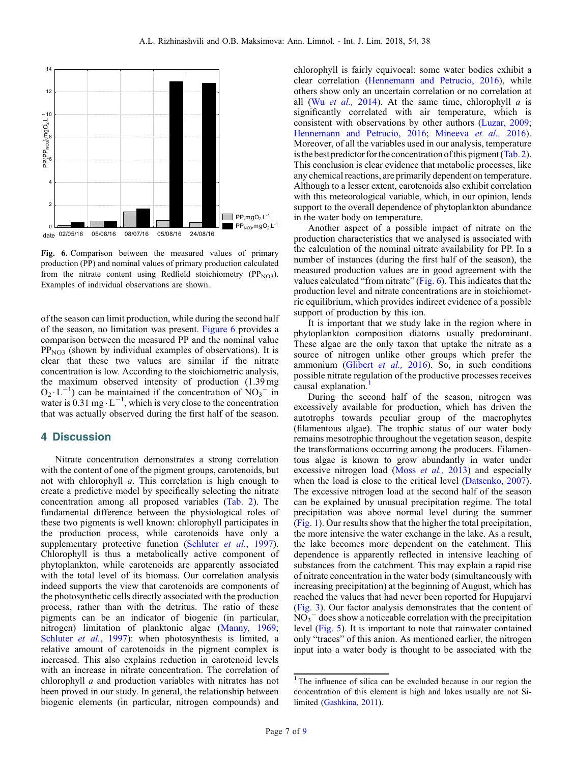

Fig. 6. Comparison between the measured values of primary production (PP) and nominal values of primary production calculated from the nitrate content using Redfield stoichiometry  $(PP<sub>NO3</sub>)$ . Examples of individual observations are shown.

of the season can limit production, while during the second half of the season, no limitation was present. Figure 6 provides a comparison between the measured PP and the nominal value  $PP<sub>NO3</sub>$  (shown by individual examples of observations). It is clear that these two values are similar if the nitrate concentration is low. According to the stoichiometric analysis, the maximum observed intensity of production (1.39 mg  $O_2 \cdot L^{-1}$ ) can be maintained if the concentration of  $NO_3$ <sup>-</sup> in water is 0.31 mg $\cdot L^{-1}$ , which is very close to the concentration that was actually observed during the first half of the season.

### 4 Discussion

Nitrate concentration demonstrates a strong correlation with the content of one of the pigment groups, carotenoids, but not with chlorophyll a. This correlation is high enough to create a predictive model by specifically selecting the nitrate concentration among all proposed variables ([Tab. 2](#page-5-0)). The fundamental difference between the physiological roles of these two pigments is well known: chlorophyll participates in the production process, while carotenoids have only a supplementary protective function [\(Schluter](#page-8-0) *et al.*, 1997). Chlorophyll is thus a metabolically active component of phytoplankton, while carotenoids are apparently associated with the total level of its biomass. Our correlation analysis indeed supports the view that carotenoids are components of the photosynthetic cells directly associated with the production process, rather than with the detritus. The ratio of these pigments can be an indicator of biogenic (in particular, nitrogen) limitation of planktonic algae ([Manny, 1969](#page-7-0); [Schluter](#page-8-0) et al., 1997): when photosynthesis is limited, a relative amount of carotenoids in the pigment complex is increased. This also explains reduction in carotenoid levels with an increase in nitrate concentration. The correlation of chlorophyll a and production variables with nitrates has not been proved in our study. In general, the relationship between biogenic elements (in particular, nitrogen compounds) and chlorophyll is fairly equivocal: some water bodies exhibit a clear correlation [\(Hennemann and Petrucio, 2016\)](#page-7-0), while others show only an uncertain correlation or no correlation at all (Wu [et al.,](#page-8-0) 2014). At the same time, chlorophyll a is significantly correlated with air temperature, which is consistent with observations by other authors ([Luzar, 2009;](#page-7-0) [Hennemann and Petrucio, 2016](#page-7-0); [Mineeva](#page-7-0) et al., 2016). Moreover, of all the variables used in our analysis, temperature is the best predictor for the concentration of this pigment  $(Tab, 2)$ . This conclusion is clear evidence that metabolic processes, like any chemical reactions, are primarily dependent on temperature. Although to a lesser extent, carotenoids also exhibit correlation with this meteorological variable, which, in our opinion, lends support to the overall dependence of phytoplankton abundance in the water body on temperature.

Another aspect of a possible impact of nitrate on the production characteristics that we analysed is associated with the calculation of the nominal nitrate availability for PP. In a number of instances (during the first half of the season), the measured production values are in good agreement with the values calculated "from nitrate" (Fig. 6). This indicates that the production level and nitrate concentrations are in stoichiometric equilibrium, which provides indirect evidence of a possible support of production by this ion.

It is important that we study lake in the region where in phytoplankton composition diatoms usually predominant. These algae are the only taxon that uptake the nitrate as a source of nitrogen unlike other groups which prefer the ammonium ([Glibert](#page-7-0) et al., 2016). So, in such conditions possible nitrate regulation of the productive processes receives causal explanation.<sup>1</sup>

During the second half of the season, nitrogen was excessively available for production, which has driven the autotrophs towards peculiar group of the macrophytes (filamentous algae). The trophic status of our water body remains mesotrophic throughout the vegetation season, despite the transformations occurring among the producers. Filamentous algae is known to grow abundantly in water under excessive nitrogen load (Moss *et al.*, 2013) and especially when the load is close to the critical level ([Datsenko, 2007\)](#page-7-0). The excessive nitrogen load at the second half of the season can be explained by unusual precipitation regime. The total precipitation was above normal level during the summer ([Fig. 1](#page-3-0)). Our results show that the higher the total precipitation, the more intensive the water exchange in the lake. As a result, the lake becomes more dependent on the catchment. This dependence is apparently reflected in intensive leaching of substances from the catchment. This may explain a rapid rise of nitrate concentration in the water body (simultaneously with increasing precipitation) at the beginning of August, which has reached the values that had never been reported for Hupujarvi ([Fig. 3\)](#page-4-0). Our factor analysis demonstrates that the content of  $NO<sub>3</sub><sup>-</sup>$  does show a noticeable correlation with the precipitation level [\(Fig. 5\)](#page-5-0). It is important to note that rainwater contained only "traces" of this anion. As mentioned earlier, the nitrogen input into a water body is thought to be associated with the

<sup>&</sup>lt;sup>1</sup> The influence of silica can be excluded because in our region the concentration of this element is high and lakes usually are not Silimited ([Gashkina, 2011\)](#page-7-0).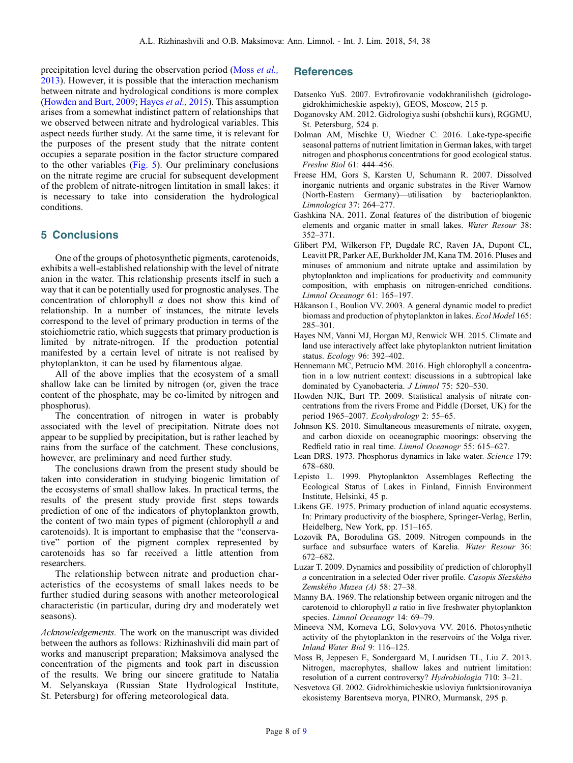<span id="page-7-0"></span>precipitation level during the observation period (Moss *et al.*, 2013). However, it is possible that the interaction mechanism between nitrate and hydrological conditions is more complex (Howden and Burt, 2009; Hayes et al., 2015). This assumption arises from a somewhat indistinct pattern of relationships that we observed between nitrate and hydrological variables. This aspect needs further study. At the same time, it is relevant for the purposes of the present study that the nitrate content occupies a separate position in the factor structure compared to the other variables [\(Fig. 5\)](#page-5-0). Our preliminary conclusions on the nitrate regime are crucial for subsequent development of the problem of nitrate-nitrogen limitation in small lakes: it is necessary to take into consideration the hydrological conditions.

# 5 Conclusions

One of the groups of photosynthetic pigments, carotenoids, exhibits a well-established relationship with the level of nitrate anion in the water. This relationship presents itself in such a way that it can be potentially used for prognostic analyses. The concentration of chlorophyll a does not show this kind of relationship. In a number of instances, the nitrate levels correspond to the level of primary production in terms of the stoichiometric ratio, which suggests that primary production is limited by nitrate-nitrogen. If the production potential manifested by a certain level of nitrate is not realised by phytoplankton, it can be used by filamentous algae.

All of the above implies that the ecosystem of a small shallow lake can be limited by nitrogen (or, given the trace content of the phosphate, may be co-limited by nitrogen and phosphorus).

The concentration of nitrogen in water is probably associated with the level of precipitation. Nitrate does not appear to be supplied by precipitation, but is rather leached by rains from the surface of the catchment. These conclusions, however, are preliminary and need further study.

The conclusions drawn from the present study should be taken into consideration in studying biogenic limitation of the ecosystems of small shallow lakes. In practical terms, the results of the present study provide first steps towards prediction of one of the indicators of phytoplankton growth, the content of two main types of pigment (chlorophyll  $a$  and carotenoids). It is important to emphasise that the "conservative" portion of the pigment complex represented by carotenoids has so far received a little attention from researchers.

The relationship between nitrate and production characteristics of the ecosystems of small lakes needs to be further studied during seasons with another meteorological characteristic (in particular, during dry and moderately wet seasons).

Acknowledgements. The work on the manuscript was divided between the authors as follows: Rizhinashvili did main part of works and manuscript preparation; Maksimova analysed the concentration of the pigments and took part in discussion of the results. We bring our sincere gratitude to Natalia M. Selyanskaya (Russian State Hydrological Institute, St. Petersburg) for offering meteorological data.

## **References**

- Datsenko YuS. 2007. Evtrofirovanie vodokhranilishch (gidrologogidrokhimicheskie aspekty), GEOS, Moscow, 215 p.
- Doganovsky AM. 2012. Gidrologiya sushi (obshchii kurs), RGGMU, St. Petersburg, 524 p.
- Dolman AM, Mischke U, Wiedner C. 2016. Lake-type-specific seasonal patterns of nutrient limitation in German lakes, with target nitrogen and phosphorus concentrations for good ecological status. Freshw Biol 61: 444–456.
- Freese HM, Gors S, Karsten U, Schumann R. 2007. Dissolved inorganic nutrients and organic substrates in the River Warnow (North-Eastern Germany)—utilisation by bacterioplankton. Limnologica 37: 264–277.
- Gashkina NA. 2011. Zonal features of the distribution of biogenic elements and organic matter in small lakes. Water Resour 38: 352–371.
- Glibert PM, Wilkerson FP, Dugdale RC, Raven JA, Dupont CL, Leavitt PR, Parker AE, Burkholder JM, Kana TM. 2016. Pluses and minuses of ammonium and nitrate uptake and assimilation by phytoplankton and implications for productivity and community composition, with emphasis on nitrogen-enriched conditions. Limnol Oceanogr 61: 165–197.
- Håkanson L, Boulion VV. 2003. A general dynamic model to predict biomass and production of phytoplankton in lakes. Ecol Model 165: 285–301.
- Hayes NM, Vanni MJ, Horgan MJ, Renwick WH. 2015. Climate and land use interactively affect lake phytoplankton nutrient limitation status. Ecology 96: 392–402.
- Hennemann MC, Petrucio MM. 2016. High chlorophyll a concentration in a low nutrient context: discussions in a subtropical lake dominated by Cyanobacteria. *J Limnol* 75: 520–530.
- Howden NJK, Burt TP. 2009. Statistical analysis of nitrate concentrations from the rivers Frome and Piddle (Dorset, UK) for the period 1965–2007. Ecohydrology 2: 55–65.
- Johnson KS. 2010. Simultaneous measurements of nitrate, oxygen, and carbon dioxide on oceanographic moorings: observing the Redfield ratio in real time. Limnol Oceanogr 55: 615–627.
- Lean DRS. 1973. Phosphorus dynamics in lake water. Science 179: 678–680.
- Lepisto L. 1999. Phytoplankton Assemblages Reflecting the Ecological Status of Lakes in Finland, Finnish Environment Institute, Helsinki, 45 p.
- Likens GE. 1975. Primary production of inland aquatic ecosystems. In: Primary productivity of the biosphere, Springer-Verlag, Berlin, Heidelberg, New York, pp. 151–165.
- Lozovik PA, Borodulina GS. 2009. Nitrogen compounds in the surface and subsurface waters of Karelia. Water Resour 36: 672–682.
- Luzar T. 2009. Dynamics and possibility of prediction of chlorophyll a concentration in a selected Oder river profile. Casopis Slezského Zemského Muzea (A) 58: 27–38.
- Manny BA. 1969. The relationship between organic nitrogen and the carotenoid to chlorophyll a ratio in five freshwater phytoplankton species. Limnol Oceanogr 14: 69-79.
- Mineeva NM, Korneva LG, Solovyova VV. 2016. Photosynthetic activity of the phytoplankton in the reservoirs of the Volga river. Inland Water Biol 9: 116–125.
- Moss B, Jeppesen E, Sondergaard M, Lauridsen TL, Liu Z. 2013. Nitrogen, macrophytes, shallow lakes and nutrient limitation: resolution of a current controversy? Hydrobiologia 710: 3–21.
- Nesvetova GI. 2002. Gidrokhimicheskie usloviya funktsionirovaniya ekosistemy Barentseva morya, PINRO, Murmansk, 295 p.